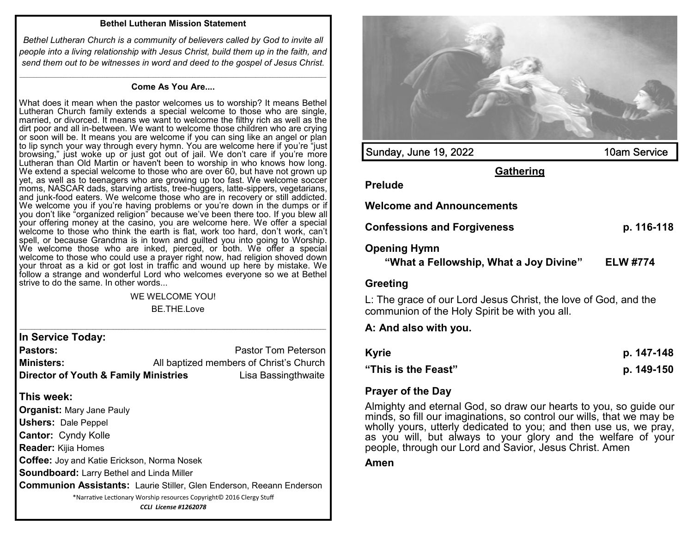## **Bethel Lutheran Mission Statement**

*Bethel Lutheran Church is a community of believers called by God to invite all people into a living relationship with Jesus Christ, build them up in the faith, and send them out to be witnesses in word and deed to the gospel of Jesus Christ.*

## *\_\_\_\_\_\_\_\_\_\_\_\_\_\_\_\_\_\_\_\_\_\_\_\_\_\_\_\_\_\_\_\_\_\_\_\_\_\_\_\_\_\_\_\_\_\_\_\_\_\_\_\_\_\_\_\_\_\_\_\_\_\_\_\_\_\_\_\_\_\_\_\_\_\_\_\_\_\_\_\_\_\_\_\_\_\_\_\_\_\_\_\_\_\_\_\_\_\_\_\_\_\_\_\_\_\_\_\_\_\_\_\_\_\_\_\_\_\_\_\_\_\_\_\_\_\_* **Come As You Are....**

What does it mean when the pastor welcomes us to worship? It means Bethel Lutheran Church family extends a special welcome to those who are single, married, or divorced. It means we want to welcome the filthy rich as well as the dirt poor and all in-between. We want to welcome those children who are crying or soon will be. It means you are welcome if you can sing like an angel or plan to lip synch your way through every hymn. You are welcome here if you're "just browsing," just woke up or just got out of jail. We don't care if you're more Lutheran than Old Martin or haven't been to worship in who knows how long. We extend a special welcome to those who are over 60, but have not grown up yet, as well as to teenagers who are growing up too fast. We welcome soccer moms, NASCAR dads, starving artists, tree-huggers, latte-sippers, vegetarians, and junk-food eaters. We welcome those who are in recovery or still addicted. We welcome you if you're having problems or you're down in the dumps or if you don't like "organized religion" because we've been there too. If you blew all your offering money at the casino, you are welcome here. We offer a special welcome to those who think the earth is flat, work too hard, don't work, can't spell, or because Grandma is in town and guilted you into going to Worship. We welcome those who are inked, pierced, or both. We offer a special welcome to those who could use a prayer right now, had religion shoved down your throat as a kid or got lost in traffic and wound up here by mistake. We follow a strange and wonderful Lord who welcomes everyone so we at Bethel strive to do the same. In other words...

## WE WELCOME YOU! BE THE Love

**In Service Today:**

**Pastors: Pastor Tom Peterson Ministers:** All baptized members of Christ's Church **Director of Youth & Family Ministries** Lisa Bassingthwaite

## **This week:**

**Organist:** Mary Jane Pauly

**Ushers:** Dale Peppel

**Cantor:** Cyndy Kolle

**Reader:** Kijia Homes

**Coffee:** Joy and Katie Erickson, Norma Nosek

**Soundboard:** Larry Bethel and Linda Miller

**Communion Assistants:** Laurie Stiller, Glen Enderson, Reeann Enderson

\*Narrative Lectionary Worship resources Copyright© 2016 Clergy Stuff

*CCLI License #1262078*



**Amen**